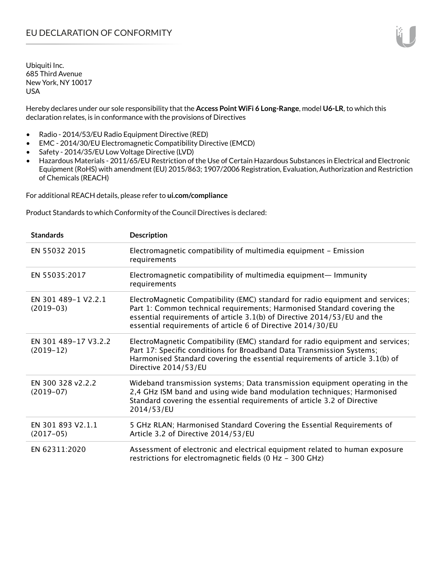Hereby declares under our sole responsibility that the **Access Point WiFi 6 Long-Range**, model **U6-LR**, to which this declaration relates, is in conformance with the provisions of Directives

- Radio 2014/53/EU Radio Equipment Directive (RED)
- EMC 2014/30/EU Electromagnetic Compatibility Directive (EMCD)
- Safety 2014/35/EU Low Voltage Directive (LVD)
- Hazardous Materials 2011/65/EU Restriction of the Use of Certain Hazardous Substances in Electrical and Electronic Equipment (RoHS) with amendment (EU) 2015/863; 1907/2006 Registration, Evaluation, Authorization and Restriction of Chemicals (REACH)

For additional REACH details, please refer to **ui.com/compliance**

Product Standards to which Conformity of the Council Directives is declared:

| <b>Standards</b>                    | <b>Description</b>                                                                                                                                                                                                                                                                                   |
|-------------------------------------|------------------------------------------------------------------------------------------------------------------------------------------------------------------------------------------------------------------------------------------------------------------------------------------------------|
| EN 55032 2015                       | Electromagnetic compatibility of multimedia equipment - Emission<br>requirements                                                                                                                                                                                                                     |
| EN 55035:2017                       | Electromagnetic compatibility of multimedia equipment— Immunity<br>requirements                                                                                                                                                                                                                      |
| EN 301 489-1 V2.2.1<br>$(2019-03)$  | ElectroMagnetic Compatibility (EMC) standard for radio equipment and services;<br>Part 1: Common technical requirements; Harmonised Standard covering the<br>essential requirements of article 3.1(b) of Directive 2014/53/EU and the<br>essential requirements of article 6 of Directive 2014/30/EU |
| EN 301 489-17 V3.2.2<br>$(2019-12)$ | ElectroMagnetic Compatibility (EMC) standard for radio equipment and services;<br>Part 17: Specific conditions for Broadband Data Transmission Systems;<br>Harmonised Standard covering the essential requirements of article 3.1(b) of<br>Directive 2014/53/EU                                      |
| EN 300 328 v2.2.2<br>$(2019-07)$    | Wideband transmission systems; Data transmission equipment operating in the<br>2,4 GHz ISM band and using wide band modulation techniques; Harmonised<br>Standard covering the essential requirements of article 3.2 of Directive<br>2014/53/EU                                                      |
| EN 301 893 V2.1.1<br>$(2017-05)$    | 5 GHz RLAN; Harmonised Standard Covering the Essential Requirements of<br>Article 3.2 of Directive 2014/53/EU                                                                                                                                                                                        |
| EN 62311:2020                       | Assessment of electronic and electrical equipment related to human exposure<br>restrictions for electromagnetic fields (0 Hz - 300 GHz)                                                                                                                                                              |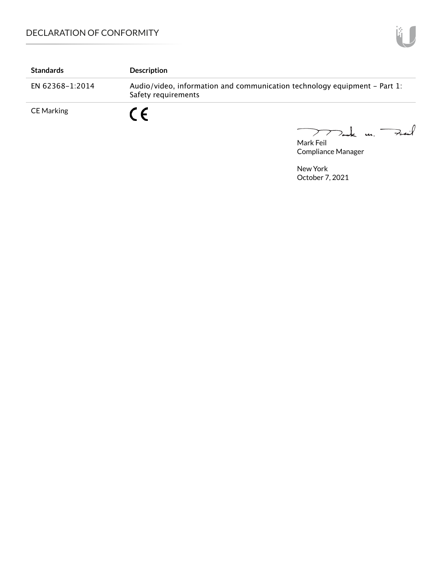| <b>Standards</b>  | <b>Description</b>                                                                               |
|-------------------|--------------------------------------------------------------------------------------------------|
| EN 62368-1:2014   | Audio/video, information and communication technology equipment – Part 1:<br>Safety requirements |
| <b>CE Marking</b> | $\epsilon$<br>$\sim$ $\sim$ $\sim$                                                               |

mak m. Fail

Mark Feil Compliance Manager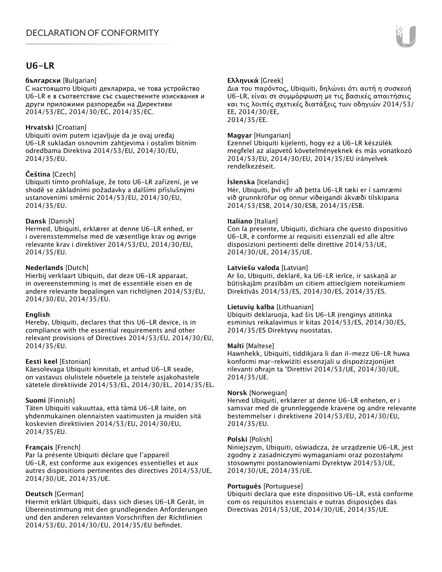# **U6-LR**

#### **български** [Bulgarian]

С настоящото Ubiquiti декларира, че това устройство U6-LR е в съответствие със съществените изисквания и други приложими разпоредби на Директиви 2014/53/EC, 2014/30/ЕС, 2014/35/ЕС.

#### **Hrvatski** [Croatian]

Ubiquiti ovim putem izjavljuje da je ovaj uređaj U6-LR sukladan osnovnim zahtjevima i ostalim bitnim odredbama Direktiva 2014/53/EU, 2014/30/EU, 2014/35/EU.

## **Čeština** [Czech]

Ubiquiti tímto prohlašuje, že toto U6-LR zařízení, je ve shodě se základními požadavky a dalšími příslušnými ustanoveními směrnic 2014/53/EU, 2014/30/EU, 2014/35/EU.

#### **Dansk** [Danish]

Hermed, Ubiquiti, erklærer at denne U6-LR enhed, er i overensstemmelse med de væsentlige krav og øvrige relevante krav i direktiver 2014/53/EU, 2014/30/EU, 2014/35/EU.

## **Nederlands** [Dutch]

Hierbij verklaart Ubiquiti, dat deze U6-LR apparaat, in overeenstemming is met de essentiële eisen en de andere relevante bepalingen van richtlijnen 2014/53/EU, 2014/30/EU, 2014/35/EU.

#### **English**

Hereby, Ubiquiti, declares that this U6-LR device, is in compliance with the essential requirements and other relevant provisions of Directives 2014/53/EU, 2014/30/EU, 2014/35/EU.

#### **Eesti keel** [Estonian]

Käesolevaga Ubiquiti kinnitab, et antud U6-LR seade, on vastavus olulistele nõuetele ja teistele asjakohastele sätetele direktiivide 2014/53/EL, 2014/30/EL, 2014/35/EL.

#### **Suomi** [Finnish]

Täten Ubiquiti vakuuttaa, että tämä U6-LR laite, on yhdenmukainen olennaisten vaatimusten ja muiden sitä koskevien direktiivien 2014/53/EU, 2014/30/EU, 2014/35/EU.

## **Français** [French]

Par la présente Ubiquiti déclare que l'appareil U6-LR, est conforme aux exigences essentielles et aux autres dispositions pertinentes des directives 2014/53/UE, 2014/30/UE, 2014/35/UE.

## **Deutsch** [German]

Hiermit erklärt Ubiquiti, dass sich dieses U6-LR Gerät, in Übereinstimmung mit den grundlegenden Anforderungen und den anderen relevanten Vorschriften der Richtlinien 2014/53/EU, 2014/30/EU, 2014/35/EU befindet.

## **Ελληνικά** [Greek]

Δια του παρόντος, Ubiquiti, δηλώνει ότι αυτή η συσκευή U6-LR, είναι σε συμμόρφωση με τις βασικές απαιτήσεις και τις λοιπές σχετικές διατάξεις των οδηγιών 2014/53/ EE, 2014/30/EE, 2014/35/EE.

### **Magyar** [Hungarian]

Ezennel Ubiquiti kijelenti, hogy ez a U6-LR készülék megfelel az alapvető követelményeknek és más vonatkozó 2014/53/EU, 2014/30/EU, 2014/35/EU irányelvek rendelkezéseit.

#### **Íslenska** [Icelandic]

Hér, Ubiquiti, því yfir að þetta U6-LR tæki er í samræmi við grunnkröfur og önnur viðeigandi ákvæði tilskipana 2014/53/ESB, 2014/30/ESB, 2014/35/ESB.

#### **Italiano** [Italian]

Con la presente, Ubiquiti, dichiara che questo dispositivo U6-LR, è conforme ai requisiti essenziali ed alle altre disposizioni pertinenti delle direttive 2014/53/UE, 2014/30/UE, 2014/35/UE.

#### **Latviešu valoda** [Latvian]

Ar šo, Ubiquiti, deklarē, ka U6-LR ierīce, ir saskaņā ar būtiskajām prasībām un citiem attiecīgiem noteikumiem Direktīvās 2014/53/ES, 2014/30/ES, 2014/35/ES.

#### **Lietuvių kalba** [Lithuanian]

Ubiquiti deklaruoja, kad šis U6-LR įrenginys atitinka esminius reikalavimus ir kitas 2014/53/ES, 2014/30/ES, 2014/35/ES Direktyvų nuostatas.

#### **Malti** [Maltese]

Hawnhekk, Ubiquiti, tiddikjara li dan il-mezz U6-LR huwa konformi mar-rekwiżiti essenzjali u dispożizzjonijiet rilevanti oħrajn ta 'Direttivi 2014/53/UE, 2014/30/UE, 2014/35/UE.

#### **Norsk** [Norwegian]

Herved Ubiquiti, erklærer at denne U6-LR enheten, er i samsvar med de grunnleggende kravene og andre relevante bestemmelser i direktivene 2014/53/EU, 2014/30/EU, 2014/35/EU.

#### **Polski** [Polish]

Niniejszym, Ubiquiti, oświadcza, że urządzenie U6-LR, jest zgodny z zasadniczymi wymaganiami oraz pozostałymi stosownymi postanowieniami Dyrektyw 2014/53/UE, 2014/30/UE, 2014/35/UE.

#### **Português** [Portuguese]

Ubiquiti declara que este dispositivo U6-LR, está conforme com os requisitos essenciais e outras disposições das Directivas 2014/53/UE, 2014/30/UE, 2014/35/UE.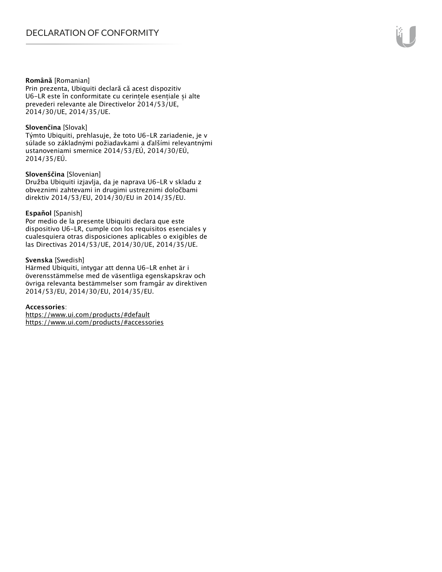#### **Română** [Romanian]

Prin prezenta, Ubiquiti declară că acest dispozitiv U6-LR este în conformitate cu cerințele esențiale și alte prevederi relevante ale Directivelor 2014/53/UE, 2014/30/UE, 2014/35/UE.

#### **Slovenčina** [Slovak]

Týmto Ubiquiti, prehlasuje, že toto U6-LR zariadenie, je v súlade so základnými požiadavkami a ďalšími relevantnými ustanoveniami smernice 2014/53/EÚ, 2014/30/EÚ, 2014/35/EÚ.

#### **Slovenščina** [Slovenian]

Družba Ubiquiti izjavlja, da je naprava U6-LR v skladu z obveznimi zahtevami in drugimi ustreznimi določbami direktiv 2014/53/EU, 2014/30/EU in 2014/35/EU.

#### **Español** [Spanish]

Por medio de la presente Ubiquiti declara que este dispositivo U6-LR, cumple con los requisitos esenciales y cualesquiera otras disposiciones aplicables o exigibles de las Directivas 2014/53/UE, 2014/30/UE, 2014/35/UE.

#### **Svenska** [Swedish]

Härmed Ubiquiti, intygar att denna U6-LR enhet är i överensstämmelse med de väsentliga egenskapskrav och övriga relevanta bestämmelser som framgår av direktiven 2014/53/EU, 2014/30/EU, 2014/35/EU.

#### **Accessories**:

https://www.ui.com/products/#default https://www.ui.com/products/#accessories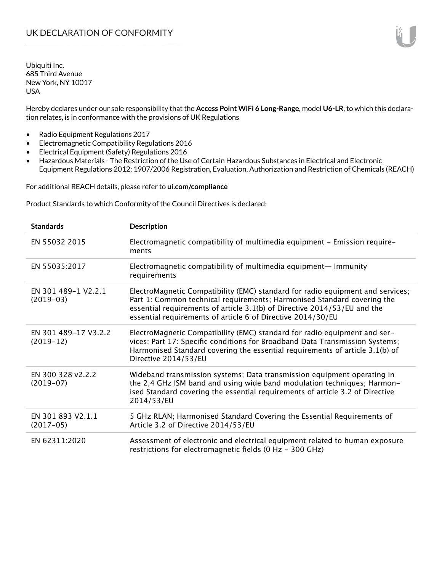Hereby declares under our sole responsibility that the **Access Point WiFi 6 Long-Range**, model **U6-LR**, to which this declaration relates, is in conformance with the provisions of UK Regulations

- Radio Equipment Regulations 2017
- Electromagnetic Compatibility Regulations 2016
- Electrical Equipment (Safety) Regulations 2016
- Hazardous Materials The Restriction of the Use of Certain Hazardous Substances in Electrical and Electronic Equipment Regulations 2012; 1907/2006 Registration, Evaluation, Authorization and Restriction of Chemicals (REACH)

For additional REACH details, please refer to **ui.com/compliance**

Product Standards to which Conformity of the Council Directives is declared:

| <b>Standards</b>                    | <b>Description</b>                                                                                                                                                                                                                                                                                   |
|-------------------------------------|------------------------------------------------------------------------------------------------------------------------------------------------------------------------------------------------------------------------------------------------------------------------------------------------------|
| EN 55032 2015                       | Electromagnetic compatibility of multimedia equipment - Emission require-<br>ments                                                                                                                                                                                                                   |
| EN 55035:2017                       | Electromagnetic compatibility of multimedia equipment— Immunity<br>requirements                                                                                                                                                                                                                      |
| EN 301 489-1 V2.2.1<br>$(2019-03)$  | ElectroMagnetic Compatibility (EMC) standard for radio equipment and services;<br>Part 1: Common technical requirements; Harmonised Standard covering the<br>essential requirements of article 3.1(b) of Directive 2014/53/EU and the<br>essential requirements of article 6 of Directive 2014/30/EU |
| EN 301 489-17 V3.2.2<br>$(2019-12)$ | ElectroMagnetic Compatibility (EMC) standard for radio equipment and ser-<br>vices; Part 17: Specific conditions for Broadband Data Transmission Systems;<br>Harmonised Standard covering the essential requirements of article 3.1(b) of<br>Directive 2014/53/EU                                    |
| EN 300 328 v2.2.2<br>$(2019-07)$    | Wideband transmission systems; Data transmission equipment operating in<br>the 2,4 GHz ISM band and using wide band modulation techniques; Harmon-<br>ised Standard covering the essential requirements of article 3.2 of Directive<br>2014/53/EU                                                    |
| EN 301 893 V2.1.1<br>$(2017-05)$    | 5 GHz RLAN; Harmonised Standard Covering the Essential Requirements of<br>Article 3.2 of Directive 2014/53/EU                                                                                                                                                                                        |
| EN 62311:2020                       | Assessment of electronic and electrical equipment related to human exposure<br>restrictions for electromagnetic fields (0 Hz - 300 GHz)                                                                                                                                                              |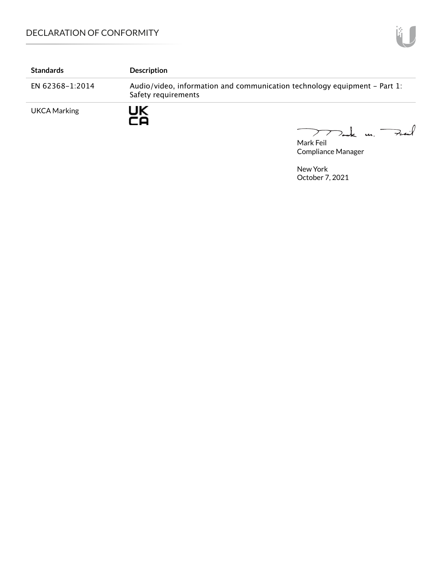| <b>Standards</b>    | <b>Description</b>                                                                               |
|---------------------|--------------------------------------------------------------------------------------------------|
| EN 62368-1:2014     | Audio/video, information and communication technology equipment – Part 1:<br>Safety requirements |
| <b>UKCA Marking</b> | UK<br>-0                                                                                         |

Mark Feil Compliance Manager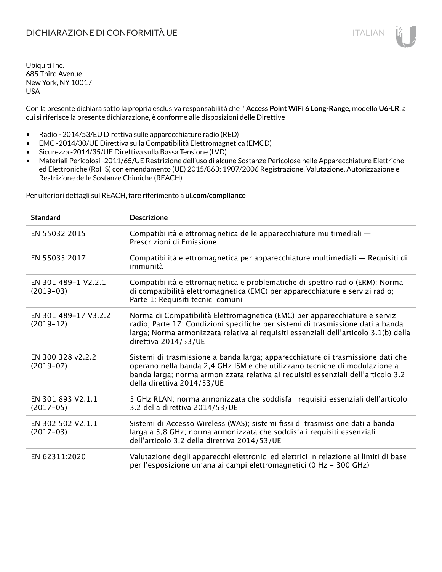Con la presente dichiara sotto la propria esclusiva responsabilità che l' **Access Point WiFi 6 Long-Range**, modello **U6-LR**, a cui si riferisce la presente dichiarazione, è conforme alle disposizioni delle Direttive

- Radio 2014/53/EU Direttiva sulle apparecchiature radio (RED)
- EMC -2014/30/UE Direttiva sulla Compatibilità Elettromagnetica (EMCD)
- Sicurezza -2014/35/UE Direttiva sulla Bassa Tensione (LVD)
- Materiali Pericolosi -2011/65/UE Restrizione dell'uso di alcune Sostanze Pericolose nelle Apparecchiature Elettriche ed Elettroniche (RoHS) con emendamento (UE) 2015/863; 1907/2006 Registrazione, Valutazione, Autorizzazione e Restrizione delle Sostanze Chimiche (REACH)

Per ulteriori dettagli sul REACH, fare riferimento a **ui.com/compliance**

| <b>Standard</b>                     | <b>Descrizione</b>                                                                                                                                                                                                                                                               |
|-------------------------------------|----------------------------------------------------------------------------------------------------------------------------------------------------------------------------------------------------------------------------------------------------------------------------------|
| EN 55032 2015                       | Compatibilità elettromagnetica delle apparecchiature multimediali -<br>Prescrizioni di Emissione                                                                                                                                                                                 |
| EN 55035:2017                       | Compatibilità elettromagnetica per apparecchiature multimediali - Requisiti di<br>immunità                                                                                                                                                                                       |
| EN 301 489-1 V2.2.1<br>$(2019-03)$  | Compatibilità elettromagnetica e problematiche di spettro radio (ERM); Norma<br>di compatibilità elettromagnetica (EMC) per apparecchiature e servizi radio;<br>Parte 1: Requisiti tecnici comuni                                                                                |
| EN 301 489-17 V3.2.2<br>$(2019-12)$ | Norma di Compatibilità Elettromagnetica (EMC) per apparecchiature e servizi<br>radio; Parte 17: Condizioni specifiche per sistemi di trasmissione dati a banda<br>larga; Norma armonizzata relativa ai requisiti essenziali dell'articolo 3.1(b) della<br>direttiva 2014/53/UE   |
| EN 300 328 v2.2.2<br>$(2019-07)$    | Sistemi di trasmissione a banda larga; apparecchiature di trasmissione dati che<br>operano nella banda 2,4 GHz ISM e che utilizzano tecniche di modulazione a<br>banda larga; norma armonizzata relativa ai requisiti essenziali dell'articolo 3.2<br>della direttiva 2014/53/UE |
| EN 301 893 V2.1.1<br>$(2017-05)$    | 5 GHz RLAN; norma armonizzata che soddisfa i requisiti essenziali dell'articolo<br>3.2 della direttiva 2014/53/UE                                                                                                                                                                |
| EN 302 502 V2.1.1<br>$(2017-03)$    | Sistemi di Accesso Wireless (WAS); sistemi fissi di trasmissione dati a banda<br>larga a 5,8 GHz; norma armonizzata che soddisfa i requisiti essenziali<br>dell'articolo 3.2 della direttiva 2014/53/UE                                                                          |
| EN 62311:2020                       | Valutazione degli apparecchi elettronici ed elettrici in relazione ai limiti di base<br>per l'esposizione umana ai campi elettromagnetici (0 Hz - 300 GHz)                                                                                                                       |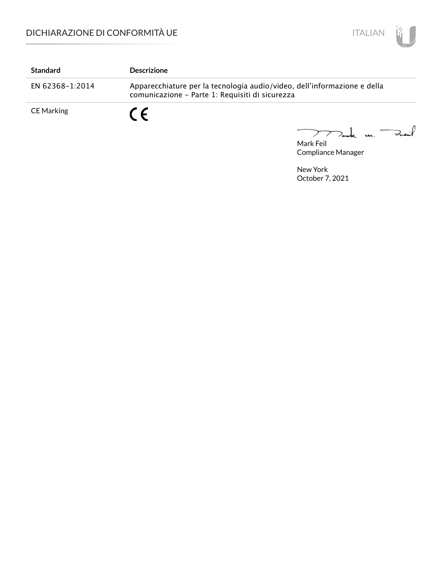

| <b>Standard</b> | <b>Descrizione</b>                                                                                                          |  |
|-----------------|-----------------------------------------------------------------------------------------------------------------------------|--|
| EN 62368-1:2014 | Apparecchiature per la tecnologia audio/video, dell'informazione e della<br>comunicazione - Parte 1: Requisiti di sicurezza |  |
| CE Marking      | $\epsilon$                                                                                                                  |  |

Mak m. Fail  $\overline{\phantom{0}}$ 

Mark Feil Compliance Manager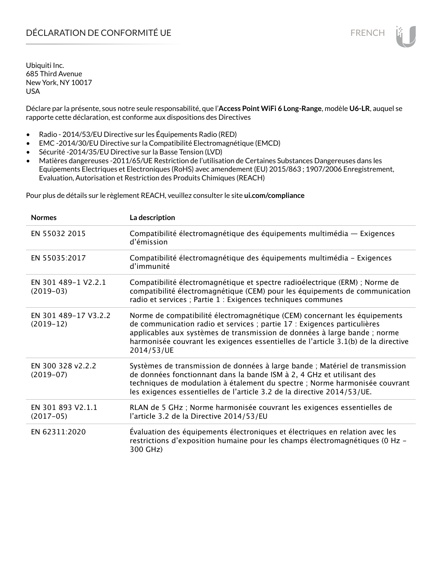Déclare par la présente, sous notre seule responsabilité, que l'**Access Point WiFi 6 Long-Range**, modèle **U6-LR**, auquel se rapporte cette déclaration, est conforme aux dispositions des Directives

- Radio 2014/53/EU Directive sur les Équipements Radio (RED)
- EMC -2014/30/EU Directive sur la Compatibilité Electromagnétique (EMCD)
- Sécurité -2014/35/EU Directive sur la Basse Tension (LVD)
- Matières dangereuses -2011/65/UE Restriction de l'utilisation de Certaines Substances Dangereuses dans les Equipements Electriques et Electroniques (RoHS) avec amendement (EU) 2015/863 ; 1907/2006 Enregistrement, Evaluation, Autorisation et Restriction des Produits Chimiques (REACH)

Pour plus de détails sur le règlement REACH, veuillez consulter le site **ui.com/compliance**

| <b>Normes</b>                       | La description                                                                                                                                                                                                                                                                                                                         |
|-------------------------------------|----------------------------------------------------------------------------------------------------------------------------------------------------------------------------------------------------------------------------------------------------------------------------------------------------------------------------------------|
| EN 55032 2015                       | Compatibilité électromagnétique des équipements multimédia — Exigences<br>d'émission                                                                                                                                                                                                                                                   |
| EN 55035:2017                       | Compatibilité électromagnétique des équipements multimédia - Exigences<br>d'immunité                                                                                                                                                                                                                                                   |
| EN 301 489-1 V2.2.1<br>$(2019-03)$  | Compatibilité électromagnétique et spectre radioélectrique (ERM) ; Norme de<br>compatibilité électromagnétique (CEM) pour les équipements de communication<br>radio et services ; Partie 1 : Exigences techniques communes                                                                                                             |
| EN 301 489-17 V3.2.2<br>$(2019-12)$ | Norme de compatibilité électromagnétique (CEM) concernant les équipements<br>de communication radio et services ; partie 17 : Exigences particulières<br>applicables aux systèmes de transmission de données à large bande ; norme<br>harmonisée couvrant les exigences essentielles de l'article 3.1(b) de la directive<br>2014/53/UE |
| EN 300 328 v2.2.2<br>$(2019-07)$    | Systèmes de transmission de données à large bande ; Matériel de transmission<br>de données fonctionnant dans la bande ISM à 2, 4 GHz et utilisant des<br>techniques de modulation à étalement du spectre ; Norme harmonisée couvrant<br>les exigences essentielles de l'article 3.2 de la directive 2014/53/UE.                        |
| EN 301 893 V2.1.1<br>$(2017-05)$    | RLAN de 5 GHz ; Norme harmonisée couvrant les exigences essentielles de<br>l'article 3.2 de la Directive 2014/53/EU                                                                                                                                                                                                                    |
| EN 62311:2020                       | Évaluation des équipements électroniques et électriques en relation avec les<br>restrictions d'exposition humaine pour les champs électromagnétiques (0 Hz -<br>300 GHz)                                                                                                                                                               |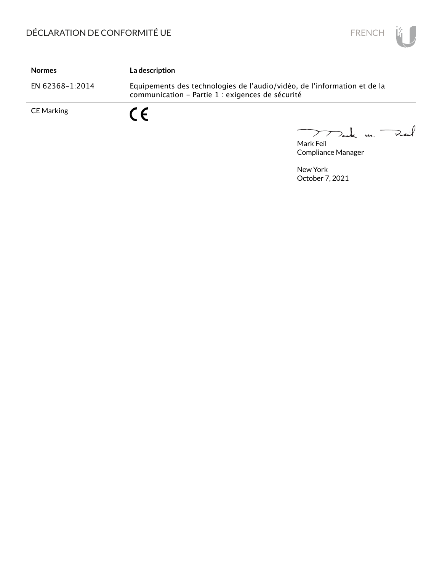

| <b>Normes</b>     | La description                                                                                                               |
|-------------------|------------------------------------------------------------------------------------------------------------------------------|
| EN 62368-1:2014   | Equipements des technologies de l'audio/vidéo, de l'information et de la<br>communication - Partie 1 : exigences de sécurité |
| <b>CE Marking</b> | C F                                                                                                                          |

Mark Feil<br>Mark Feil  $\overline{\phantom{0}}$ 

Compliance Manager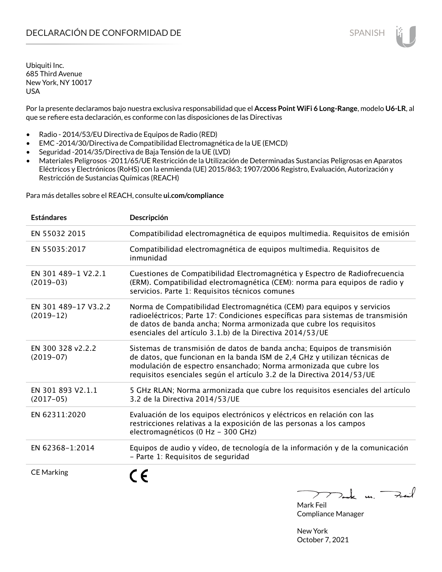Por la presente declaramos bajo nuestra exclusiva responsabilidad que el **Access Point WiFi 6 Long-Range**, modelo **U6-LR**, al que se refiere esta declaración, es conforme con las disposiciones de las Directivas

- Radio 2014/53/EU Directiva de Equipos de Radio (RED)
- EMC -2014/30/Directiva de Compatibilidad Electromagnética de la UE (EMCD)
- Seguridad -2014/35/Directiva de Baja Tensión de la UE (LVD)
- Materiales Peligrosos -2011/65/UE Restricción de la Utilización de Determinadas Sustancias Peligrosas en Aparatos Eléctricos y Electrónicos (RoHS) con la enmienda (UE) 2015/863; 1907/2006 Registro, Evaluación, Autorización y Restricción de Sustancias Químicas (REACH)

Para más detalles sobre el REACH, consulte **ui.com/compliance**

| <b>Estándares</b>                   | Descripción                                                                                                                                                                                                                                                                                         |
|-------------------------------------|-----------------------------------------------------------------------------------------------------------------------------------------------------------------------------------------------------------------------------------------------------------------------------------------------------|
| EN 55032 2015                       | Compatibilidad electromagnética de equipos multimedia. Requisitos de emisión                                                                                                                                                                                                                        |
| EN 55035:2017                       | Compatibilidad electromagnética de equipos multimedia. Requisitos de<br>inmunidad                                                                                                                                                                                                                   |
| EN 301 489-1 V2.2.1<br>$(2019-03)$  | Cuestiones de Compatibilidad Electromagnética y Espectro de Radiofrecuencia<br>(ERM). Compatibilidad electromagnética (CEM): norma para equipos de radio y<br>servicios. Parte 1: Requisitos técnicos comunes                                                                                       |
| EN 301 489-17 V3.2.2<br>$(2019-12)$ | Norma de Compatibilidad Electromagnética (CEM) para equipos y servicios<br>radioeléctricos; Parte 17: Condiciones específicas para sistemas de transmisión<br>de datos de banda ancha; Norma armonizada que cubre los requisitos<br>esenciales del artículo 3.1.b) de la Directiva 2014/53/UE       |
| EN 300 328 v2.2.2<br>$(2019-07)$    | Sistemas de transmisión de datos de banda ancha; Equipos de transmisión<br>de datos, que funcionan en la banda ISM de 2,4 GHz y utilizan técnicas de<br>modulación de espectro ensanchado; Norma armonizada que cubre los<br>requisitos esenciales según el artículo 3.2 de la Directiva 2014/53/UE |
| EN 301 893 V2.1.1<br>$(2017-05)$    | 5 GHz RLAN; Norma armonizada que cubre los requisitos esenciales del artículo<br>3.2 de la Directiva 2014/53/UE                                                                                                                                                                                     |
| EN 62311:2020                       | Evaluación de los equipos electrónicos y eléctricos en relación con las<br>restricciones relativas a la exposición de las personas a los campos<br>electromagnéticos (0 Hz - 300 GHz)                                                                                                               |
| EN 62368-1:2014                     | Equipos de audio y vídeo, de tecnología de la información y de la comunicación<br>- Parte 1: Requisitos de seguridad                                                                                                                                                                                |
| <b>CE Marking</b>                   |                                                                                                                                                                                                                                                                                                     |

Tak m. Fail

Mark Feil Compliance Manager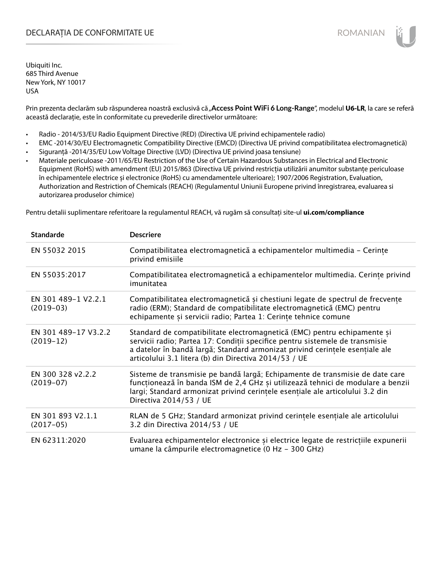# DECLARAȚIA DE CONFORMITATE UE EXECUTE DE ROMANIAN

Ubiquiti Inc. 685 Third Avenue New York, NY 10017 USA

Prin prezenta declarăm sub răspunderea noastră exclusivă că "**Access Point WiFi 6 Long-Range**", modelul **U6-LR**, la care se referă această declarație, este în conformitate cu prevederile directivelor următoare:

- Radio 2014/53/EU Radio Equipment Directive (RED) (Directiva UE privind echipamentele radio)
- EMC -2014/30/EU Electromagnetic Compatibility Directive (EMCD) (Directiva UE privind compatibilitatea electromagnetică)
- Siguranță -2014/35/EU Low Voltage Directive (LVD) (Directiva UE privind joasa tensiune)
- Materiale periculoase -2011/65/EU Restriction of the Use of Certain Hazardous Substances in Electrical and Electronic Equipment (RoHS) with amendment (EU) 2015/863 (Directiva UE privind restricția utilizării anumitor substanțe periculoase în echipamentele electrice și electronice (RoHS) cu amendamentele ulterioare); 1907/2006 Registration, Evaluation, Authorization and Restriction of Chemicals (REACH) (Regulamentul Uniunii Europene privind înregistrarea, evaluarea si autorizarea produselor chimice)

Pentru detalii suplimentare referitoare la regulamentul REACH, vă rugăm să consultați site-ul **ui.com/compliance**

| <b>Standarde</b>                    | <b>Descriere</b>                                                                                                                                                                                                                                                                                  |
|-------------------------------------|---------------------------------------------------------------------------------------------------------------------------------------------------------------------------------------------------------------------------------------------------------------------------------------------------|
| EN 55032 2015                       | Compatibilitatea electromagnetică a echipamentelor multimedia - Cerințe<br>privind emisiile                                                                                                                                                                                                       |
| EN 55035:2017                       | Compatibilitatea electromagnetică a echipamentelor multimedia. Cerințe privind<br>imunitatea                                                                                                                                                                                                      |
| EN 301 489-1 V2.2.1<br>$(2019-03)$  | Compatibilitatea electromagnetică și chestiuni legate de spectrul de frecvențe<br>radio (ERM); Standard de compatibilitate electromagnetică (EMC) pentru<br>echipamente și servicii radio; Partea 1: Cerințe tehnice comune                                                                       |
| EN 301 489-17 V3.2.2<br>$(2019-12)$ | Standard de compatibilitate electromagnetică (EMC) pentru echipamente și<br>servicii radio; Partea 17: Condiții specifice pentru sistemele de transmisie<br>a datelor în bandă largă; Standard armonizat privind cerințele esențiale ale<br>articolului 3.1 litera (b) din Directiva 2014/53 / UE |
| EN 300 328 v2.2.2<br>$(2019-07)$    | Sisteme de transmisie pe bandă largă; Echipamente de transmisie de date care<br>funcționează în banda ISM de 2,4 GHz și utilizează tehnici de modulare a benzii<br>largi; Standard armonizat privind cerintele esentiale ale articolului 3.2 din<br>Directiva 2014/53 / UE                        |
| EN 301 893 V2.1.1<br>$(2017-05)$    | RLAN de 5 GHz; Standard armonizat privind cerințele esențiale ale articolului<br>3.2 din Directiva 2014/53 / UE                                                                                                                                                                                   |
| EN 62311:2020                       | Evaluarea echipamentelor electronice și electrice legate de restricțiile expunerii<br>umane la câmpurile electromagnetice (0 Hz - 300 GHz)                                                                                                                                                        |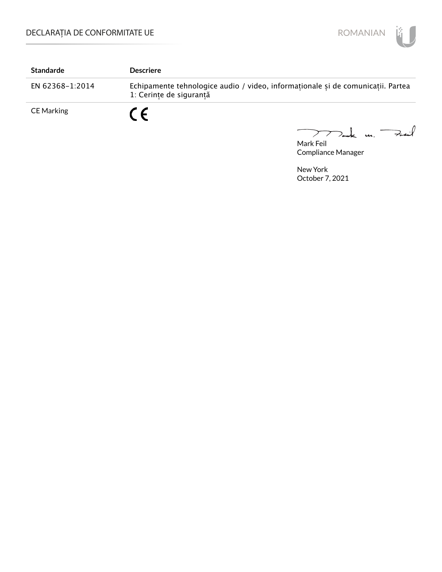

| <b>Standarde</b>  | <b>Descriere</b>                                                                                           |
|-------------------|------------------------------------------------------------------------------------------------------------|
| EN 62368-1:2014   | Echipamente tehnologice audio / video, informaționale și de comunicații. Partea<br>1: Cerinte de sigurantă |
| <b>CE Marking</b> | C E<br>$\sqrt{2}$                                                                                          |

mak m. Fail  $\overline{\phantom{0}}$ 

Mark Feil Compliance Manager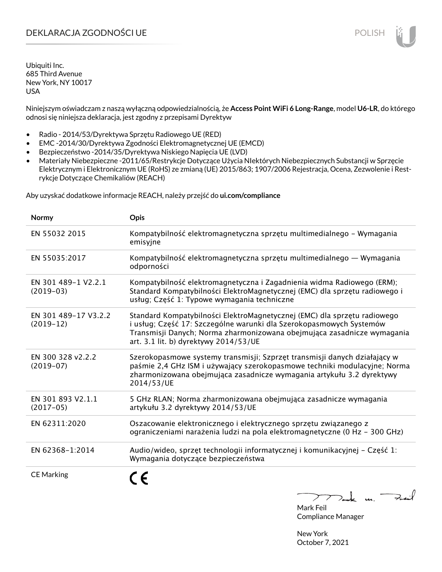# DEKLARACJA ZGODNOŚCI UE POLISH POLISH

Ubiquiti Inc. 685 Third Avenue New York, NY 10017 USA

Niniejszym oświadczam z naszą wyłączną odpowiedzialnością, że **Access Point WiFi 6 Long-Range**, model **U6-LR**, do którego odnosi się niniejsza deklaracja, jest zgodny z przepisami Dyrektyw

- Radio 2014/53/Dyrektywa Sprzętu Radiowego UE (RED)
- EMC -2014/30/Dyrektywa Zgodności Elektromagnetycznej UE (EMCD)
- Bezpieczeństwo -2014/35/Dyrektywa Niskiego Napięcia UE (LVD)
- Materiały Niebezpieczne -2011/65/Restrykcje Dotyczące Użycia NIektórych Niebezpiecznych Substancji w Sprzęcie Elektrycznym i Elektronicznym UE (RoHS) ze zmianą (UE) 2015/863; 1907/2006 Rejestracja, Ocena, Zezwolenie i Restrykcje Dotyczące Chemikaliów (REACH)

Aby uzyskać dodatkowe informacje REACH, należy przejść do **ui.com/compliance**

| Normy                               | Opis                                                                                                                                                                                                                                                                |
|-------------------------------------|---------------------------------------------------------------------------------------------------------------------------------------------------------------------------------------------------------------------------------------------------------------------|
| EN 55032 2015                       | Kompatybilność elektromagnetyczna sprzętu multimedialnego – Wymagania<br>emisyjne                                                                                                                                                                                   |
| EN 55035:2017                       | Kompatybilność elektromagnetyczna sprzętu multimedialnego — Wymagania<br>odporności                                                                                                                                                                                 |
| EN 301 489-1 V2.2.1<br>$(2019-03)$  | Kompatybilność elektromagnetyczna i Zagadnienia widma Radiowego (ERM);<br>Standard Kompatybilności ElektroMagnetycznej (EMC) dla sprzętu radiowego i<br>usług; Część 1: Typowe wymagania techniczne                                                                 |
| EN 301 489-17 V3.2.2<br>$(2019-12)$ | Standard Kompatybilności ElektroMagnetycznej (EMC) dla sprzętu radiowego<br>i usług; Część 17: Szczególne warunki dla Szerokopasmowych Systemów<br>Transmisji Danych; Norma zharmonizowana obejmująca zasadnicze wymagania<br>art. 3.1 lit. b) dyrektywy 2014/53/UE |
| EN 300 328 v2.2.2<br>$(2019-07)$    | Szerokopasmowe systemy transmisji; Szprzęt transmisji danych działający w<br>paśmie 2,4 GHz ISM i używający szerokopasmowe techniki modulacyjne; Norma<br>zharmonizowana obejmująca zasadnicze wymagania artykułu 3.2 dyrektywy<br>2014/53/UE                       |
| EN 301 893 V2.1.1<br>$(2017-05)$    | 5 GHz RLAN; Norma zharmonizowana obejmująca zasadnicze wymagania<br>artykułu 3.2 dyrektywy 2014/53/UE                                                                                                                                                               |
| EN 62311:2020                       | Oszacowanie elektronicznego i elektrycznego sprzętu związanego z<br>ograniczeniami narażenia ludzi na pola elektromagnetyczne (0 Hz - 300 GHz)                                                                                                                      |
| EN 62368-1:2014                     | Audio/wideo, sprzęt technologii informatycznej i komunikacyjnej – Część 1:<br>Wymagania dotyczące bezpieczeństwa                                                                                                                                                    |
| <b>CE Marking</b>                   |                                                                                                                                                                                                                                                                     |

 $k$  un  $\rightarrow$ 

Mark Feil Compliance Manager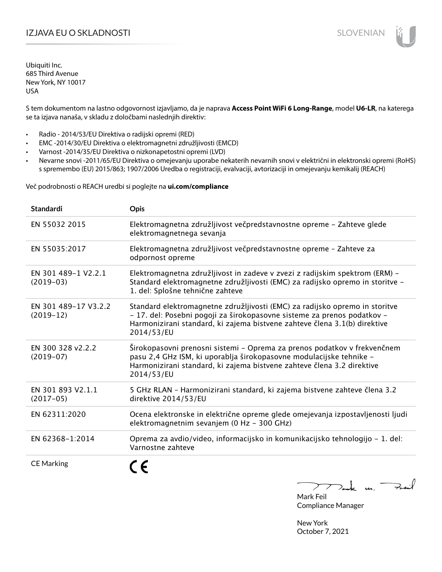# I**ZJAVA EU O SKLADNOSTI** SLOVENIAN

Ubiquiti Inc. 685 Third Avenue New York, NY 10017 USA

S tem dokumentom na lastno odgovornost izjavljamo, da je naprava **Access Point WiFi 6 Long-Range**, model **U6-LR**, na katerega se ta izjava nanaša, v skladu z določbami naslednjih direktiv:

- Radio 2014/53/EU Direktiva o radijski opremi (RED)
- EMC -2014/30/EU Direktiva o elektromagnetni združljivosti (EMCD)
- Varnost -2014/35/EU Direktiva o nizkonapetostni opremi (LVD)
- Nevarne snovi -2011/65/EU Direktiva o omejevanju uporabe nekaterih nevarnih snovi v električni in elektronski opremi (RoHS) s spremembo (EU) 2015/863; 1907/2006 Uredba o registraciji, evalvaciji, avtorizaciji in omejevanju kemikalij (REACH)

Več podrobnosti o REACH uredbi si poglejte na **ui.com/compliance**

| <b>Standardi</b>                    | <b>Opis</b>                                                                                                                                                                                                                                       |
|-------------------------------------|---------------------------------------------------------------------------------------------------------------------------------------------------------------------------------------------------------------------------------------------------|
| EN 55032 2015                       | Elektromagnetna združljivost večpredstavnostne opreme - Zahteve glede<br>elektromagnetnega sevanja                                                                                                                                                |
| EN 55035:2017                       | Elektromagnetna združljivost večpredstavnostne opreme - Zahteve za<br>odpornost opreme                                                                                                                                                            |
| EN 301 489-1 V2.2.1<br>$(2019-03)$  | Elektromagnetna združljivost in zadeve v zvezi z radijskim spektrom (ERM) –<br>Standard elektromagnetne združljivosti (EMC) za radijsko opremo in storitve -<br>1. del: Splošne tehnične zahteve                                                  |
| EN 301 489-17 V3.2.2<br>$(2019-12)$ | Standard elektromagnetne združljivosti (EMC) za radijsko opremo in storitve<br>- 17. del: Posebni pogoji za širokopasovne sisteme za prenos podatkov -<br>Harmonizirani standard, ki zajema bistvene zahteve člena 3.1(b) direktive<br>2014/53/EU |
| EN 300 328 v2.2.2<br>$(2019-07)$    | Širokopasovni prenosni sistemi – Oprema za prenos podatkov v frekvenčnem<br>pasu 2,4 GHz ISM, ki uporablja širokopasovne modulacijske tehnike -<br>Harmonizirani standard, ki zajema bistvene zahteve člena 3.2 direktive<br>2014/53/EU           |
| EN 301 893 V2.1.1<br>$(2017-05)$    | 5 GHz RLAN - Harmonizirani standard, ki zajema bistvene zahteve člena 3.2<br>direktive 2014/53/EU                                                                                                                                                 |
| EN 62311:2020                       | Ocena elektronske in električne opreme glede omejevanja izpostavljenosti ljudi<br>elektromagnetnim sevanjem (0 Hz - 300 GHz)                                                                                                                      |
| EN 62368-1:2014                     | Oprema za avdio/video, informacijsko in komunikacijsko tehnologijo – 1. del:<br>Varnostne zahteve                                                                                                                                                 |
| <b>CE Marking</b>                   |                                                                                                                                                                                                                                                   |

Tack un Fait  $\triangleright$  $\overline{\phantom{a}}$ 

Mark Feil Compliance Manager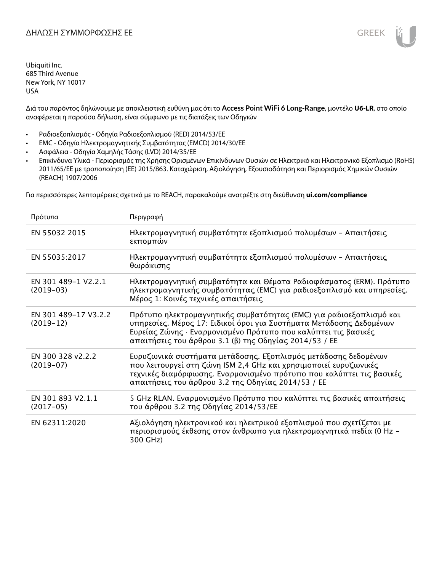Διά του παρόντος δηλώνουμε με αποκλειστική ευθύνη μας ότι το **Access Point WiFi 6 Long-Range**, μοντέλο **U6-LR**, στο οποίο αναφέρεται η παρούσα δήλωση, είναι σύμφωνο με τις διατάξεις των Οδηγιών

- Ραδιοεξοπλισμός Οδηγία Ραδιοεξοπλισμού (RED) 2014/53/ΕΕ
- EMC Οδηγία Ηλεκτρομαγνητικής Συμβατότητας (EMCD) 2014/30/ΕΕ
- Ασφάλεια Οδηγία Χαμηλής Τάσης (LVD) 2014/35/ΕΕ
- Επικίνδυνα Υλικά Περιορισμός της Χρήσης Ορισμένων Επικίνδυνων Ουσιών σε Ηλεκτρικό και Ηλεκτρονικό Εξοπλισμό (RoHS) 2011/65/ΕΕ με τροποποίηση (ΕΕ) 2015/863. Καταχώριση, Αξιολόγηση, Εξουσιοδότηση και Περιορισμός Χημικών Ουσιών (REACH) 1907/2006

Για περισσότερες λεπτομέρειες σχετικά με το REACH, παρακαλούμε ανατρέξτε στη διεύθυνση **ui.com/compliance**

| Πρότυπα                             | Περιγραφή                                                                                                                                                                                                                                                              |
|-------------------------------------|------------------------------------------------------------------------------------------------------------------------------------------------------------------------------------------------------------------------------------------------------------------------|
| EN 55032 2015                       | Ηλεκτρομαγνητική συμβατότητα εξοπλισμού πολυμέσων - Απαιτήσεις<br>εκπομπών                                                                                                                                                                                             |
| EN 55035:2017                       | Ηλεκτρομαγνητική συμβατότητα εξοπλισμού πολυμέσων - Απαιτήσεις<br>θωράκισης                                                                                                                                                                                            |
| EN 301 489-1 V2.2.1<br>$(2019-03)$  | Ηλεκτρομαγνητική συμβατότητα και Θέματα Ραδιοφάσματος (ERM). Πρότυπο<br>ηλεκτρομαγνητικής συμβατότητας (EMC) για ραδιοεξοπλισμό και υπηρεσίες.<br>Μέρος 1: Κοινές τεχνικές απαιτήσεις                                                                                  |
| EN 301 489-17 V3.2.2<br>$(2019-12)$ | Πρότυπο ηλεκτρομαγνητικής συμβατότητας (ΕΜC) για ραδιοεξοπλισμό και<br>υπηρεσίες. Μέρος 17: Ειδικοί όροι για Συστήματα Μετάδοσης Δεδομένων<br>Ευρείας Ζώνης · Εναρμονισμένο Πρότυπο που καλύπτει τις βασικές<br>απαιτήσεις του άρθρου 3.1 (β) της Οδηγίας 2014/53 / ΕΕ |
| EN 300 328 v2.2.2<br>$(2019-07)$    | Ευρυζωνικά συστήματα μετάδοσης. Εξοπλισμός μετάδοσης δεδομένων<br>που λειτουργεί στη ζώνη ISM 2,4 GHz και χρησιμοποιεί ευρυζωνικές<br>τεχνικές διαμόρφωσης. Εναρμονισμένο πρότυπο που καλύπτει τις βασικές<br>απαιτήσεις του άρθρου 3.2 της Οδηγίας 2014/53 / ΕΕ       |
| EN 301 893 V2.1.1<br>$(2017-05)$    | 5 GHz RLAN. Εναρμονισμένο Πρότυπο που καλύπτει τις βασικές απαιτήσεις<br>του άρθρου 3.2 της Οδηγίας 2014/53/ΕΕ                                                                                                                                                         |
| EN 62311:2020                       | Αξιολόγηση ηλεκτρονικού και ηλεκτρικού εξοπλισμού που σχετίζεται με<br>περιορισμούς έκθεσης στον άνθρωπο για ηλεκτρομαγνητικά πεδία (0 Hz –<br>300 GHz)                                                                                                                |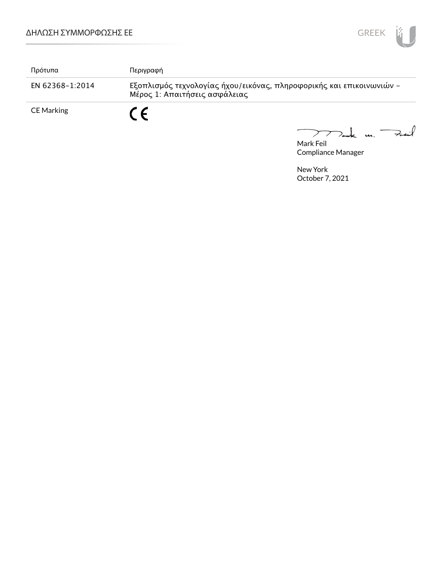

| Πρότυπα           | Περιγραφή                                                                                             |
|-------------------|-------------------------------------------------------------------------------------------------------|
| EN 62368-1:2014   | Εξοπλισμός τεχνολογίας ήχου/εικόνας, πληροφορικής και επικοινωνιών -<br>Μέρος 1: Απαιτήσεις ασφάλειας |
| <b>CE Marking</b> | C E                                                                                                   |

Mark Feil Compliance Manager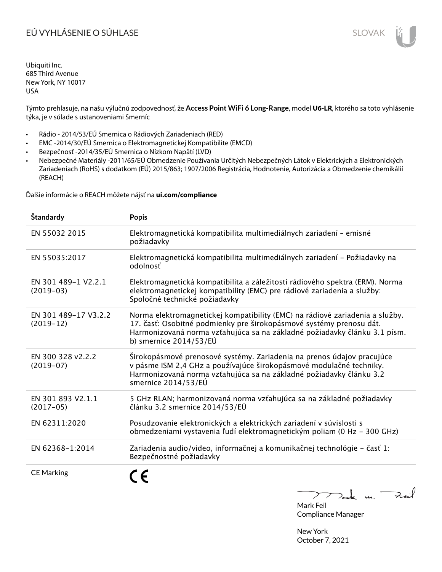# EÚ VYHLÁSENIE O SÚHLASE SLOVAK SLOVAK

Ubiquiti Inc. 685 Third Avenue New York, NY 10017 USA

Týmto prehlasuje, na našu výlučnú zodpovednosť, že **Access Point WiFi 6 Long-Range**, model **U6-LR**, ktorého sa toto vyhlásenie týka, je v súlade s ustanoveniami Smerníc

- Rádio 2014/53/EÚ Smernica o Rádiových Zariadeniach (RED)
- EMC -2014/30/EÚ Smernica o Elektromagnetickej Kompatibilite (EMCD)
- Bezpečnosť -2014/35/EÚ Smernica o Nízkom Napätí (LVD)
- Nebezpečné Materiály -2011/65/EÚ Obmedzenie Používania Určitých Nebezpečných Látok v Elektrických a Elektronických Zariadeniach (RoHS) s dodatkom (EÚ) 2015/863; 1907/2006 Registrácia, Hodnotenie, Autorizácia a Obmedzenie chemikálií (REACH)

Ďalšie informácie o REACH môžete nájsť na **ui.com/compliance**

| Štandardy                           | <b>Popis</b>                                                                                                                                                                                                                                                 |
|-------------------------------------|--------------------------------------------------------------------------------------------------------------------------------------------------------------------------------------------------------------------------------------------------------------|
| EN 55032 2015                       | Elektromagnetická kompatibilita multimediálnych zariadení - emisné<br>požiadavky                                                                                                                                                                             |
| EN 55035:2017                       | Elektromagnetická kompatibilita multimediálnych zariadení - Požiadavky na<br>odolnosť                                                                                                                                                                        |
| EN 301 489-1 V2.2.1<br>$(2019-03)$  | Elektromagnetická kompatibilita a záležitosti rádiového spektra (ERM). Norma<br>elektromagnetickej kompatibility (EMC) pre rádiové zariadenia a služby:<br>Spoločné technické požiadavky                                                                     |
| EN 301 489-17 V3.2.2<br>$(2019-12)$ | Norma elektromagnetickej kompatibility (EMC) na rádiové zariadenia a služby.<br>17. časť: Osobitné podmienky pre širokopásmové systémy prenosu dát.<br>Harmonizovaná norma vzťahujúca sa na základné požiadavky článku 3.1 písm.<br>b) smernice $2014/53/EU$ |
| EN 300 328 v2.2.2<br>$(2019-07)$    | Širokopásmové prenosové systémy. Zariadenia na prenos údajov pracujúce<br>v pásme ISM 2,4 GHz a používajúce širokopásmové modulačné techniky.<br>Harmonizovaná norma vzťahujúca sa na základné požiadavky článku 3.2<br>smernice 2014/53/EÚ                  |
| EN 301 893 V2.1.1<br>$(2017-05)$    | 5 GHz RLAN; harmonizovaná norma vzťahujúca sa na základné požiadavky<br>článku 3.2 smernice 2014/53/EÚ                                                                                                                                                       |
| EN 62311:2020                       | Posudzovanie elektronických a elektrických zariadení v súvislosti s<br>obmedzeniami vystavenia ľudí elektromagnetickým poliam (0 Hz - 300 GHz)                                                                                                               |
| EN 62368-1:2014                     | Zariadenia audio/video, informačnej a komunikačnej technológie - časť 1:<br>Bezpečnostné požiadavky                                                                                                                                                          |
| <b>CE Marking</b>                   |                                                                                                                                                                                                                                                              |

Dank un Zuil

Mark Feil Compliance Manager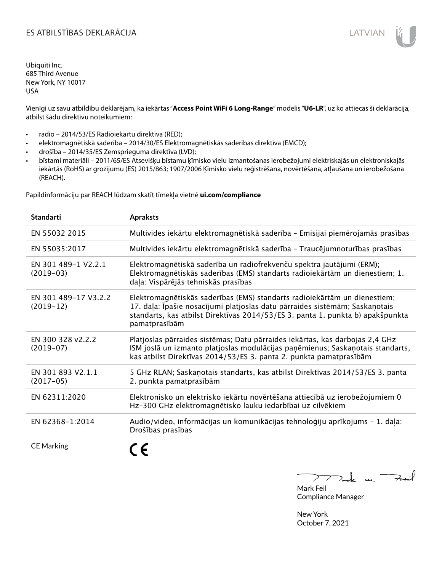# ES ATBILSTĪBAS DEKLARĀCIJA LATVIAN

Ubiquiti Inc. 685 Third Avenue New York, NY 10017 USA

Vienīgi uz savu atbildību deklarējam, ka iekārtas "**Access Point WiFi 6 Long-Range**" modelis "**U6-LR**", uz ko attiecas šī deklarācija, atbilst šādu direktīvu noteikumiem:

- radio 2014/53/ES Radioiekārtu direktīva (RED);
- elektromagnētiskā saderība 2014/30/ES Elektromagnētiskās saderības direktīva (EMCD);
- drošība 2014/35/ES Zemsprieguma direktīva (LVD);
- bīstami materiāli 2011/65/ES Atsevišķu bīstamu ķīmisko vielu izmantošanas ierobežojumi elektriskajās un elektroniskajās iekārtās (RoHS) ar grozījumu (ES) 2015/863; 1907/2006 Ķīmisko vielu reģistrēšana, novērtēšana, atļaušana un ierobežošana (REACH).

Papildinformāciju par REACH lūdzam skatīt tīmekļa vietnē **ui.com/compliance**

| <b>Standarti</b>                    | <b>Apraksts</b>                                                                                                                                                                                                                                             |
|-------------------------------------|-------------------------------------------------------------------------------------------------------------------------------------------------------------------------------------------------------------------------------------------------------------|
| EN 55032 2015                       | Multivides iekārtu elektromagnētiskā saderība - Emisijai piemērojamās prasības                                                                                                                                                                              |
| EN 55035:2017                       | Multivides iekārtu elektromagnētiskā saderība - Traucējumnoturības prasības                                                                                                                                                                                 |
| EN 301 489-1 V2.2.1<br>$(2019-03)$  | Elektromagnētiskā saderība un radiofrekvenču spektra jautājumi (ERM);<br>Elektromagnētiskās saderības (EMS) standarts radioiekārtām un dienestiem; 1.<br>daļa: Vispārējās tehniskās prasības                                                                |
| EN 301 489-17 V3.2.2<br>$(2019-12)$ | Elektromagnētiskās saderības (EMS) standarts radioiekārtām un dienestiem;<br>17. daļa: Īpašie nosacījumi platjoslas datu pārraides sistēmām; Saskaņotais<br>standarts, kas atbilst Direktīvas 2014/53/ES 3. panta 1. punkta b) apakšpunkta<br>pamatprasībām |
| EN 300 328 v2.2.2<br>$(2019-07)$    | Platjoslas pārraides sistēmas; Datu pārraides iekārtas, kas darbojas 2,4 GHz<br>ISM joslā un izmanto platjoslas modulācijas paņēmienus; Saskaņotais standarts,<br>kas atbilst Direktīvas 2014/53/ES 3. panta 2. punkta pamatprasībām                        |
| EN 301 893 V2.1.1<br>$(2017-05)$    | 5 GHz RLAN; Saskaņotais standarts, kas atbilst Direktīvas 2014/53/ES 3. panta<br>2. punkta pamatprasībām                                                                                                                                                    |
| EN 62311:2020                       | Elektronisko un elektrisko iekārtu novērtēšana attiecībā uz ierobežojumiem 0<br>Hz-300 GHz elektromagnētisko lauku iedarbībai uz cilvēkiem                                                                                                                  |
| EN 62368-1:2014                     | Audio/video, informācijas un komunikācijas tehnoloģiju aprīkojums - 1. daļa:<br>Drošības prasības                                                                                                                                                           |
| <b>CE Marking</b>                   |                                                                                                                                                                                                                                                             |

Tak m. Fail  $\mathcal{F}$ 

Mark Feil Compliance Manager